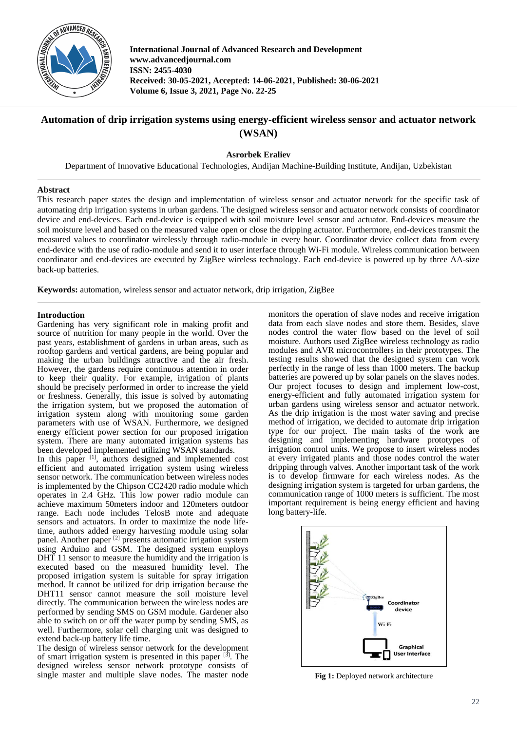

**International Journal of Advanced Research and Development www.advancedjournal.com ISSN: 2455-4030 Received: 30-05-2021, Accepted: 14-06-2021, Published: 30-06-2021 Volume 6, Issue 3, 2021, Page No. 22-25**

# **Automation of drip irrigation systems using energy-efficient wireless sensor and actuator network (WSAN)**

**Asrorbek Eraliev**

Department of Innovative Educational Technologies, Andijan Machine-Building Institute, Andijan, Uzbekistan

## **Abstract**

This research paper states the design and implementation of wireless sensor and actuator network for the specific task of automating drip irrigation systems in urban gardens. The designed wireless sensor and actuator network consists of coordinator device and end-devices. Each end-device is equipped with soil moisture level sensor and actuator. End-devices measure the soil moisture level and based on the measured value open or close the dripping actuator. Furthermore, end-devices transmit the measured values to coordinator wirelessly through radio-module in every hour. Coordinator device collect data from every end-device with the use of radio-module and send it to user interface through Wi-Fi module. Wireless communication between coordinator and end-devices are executed by ZigBee wireless technology. Each end-device is powered up by three AA-size back-up batteries.

**Keywords:** automation, wireless sensor and actuator network, drip irrigation, ZigBee

## **Introduction**

Gardening has very significant role in making profit and source of nutrition for many people in the world. Over the past years, establishment of gardens in urban areas, such as rooftop gardens and vertical gardens, are being popular and making the urban buildings attractive and the air fresh. However, the gardens require continuous attention in order to keep their quality. For example, irrigation of plants should be precisely performed in order to increase the yield or freshness. Generally, this issue is solved by automating the irrigation system, but we proposed the automation of irrigation system along with monitoring some garden parameters with use of WSAN. Furthermore, we designed energy efficient power section for our proposed irrigation system. There are many automated irrigation systems has been developed implemented utilizing WSAN standards.

In this paper [1], authors designed and implemented cost efficient and automated irrigation system using wireless sensor network. The communication between wireless nodes is implemented by the Chipson CC2420 radio module which operates in 2.4 GHz. This low power radio module can achieve maximum 50meters indoor and 120meters outdoor range. Each node includes TelosB mote and adequate sensors and actuators. In order to maximize the node lifetime, authors added energy harvesting module using solar panel. Another paper <sup>[2]</sup> presents automatic irrigation system using Arduino and GSM. The designed system employs DHT 11 sensor to measure the humidity and the irrigation is executed based on the measured humidity level. The proposed irrigation system is suitable for spray irrigation method. It cannot be utilized for drip irrigation because the DHT11 sensor cannot measure the soil moisture level directly. The communication between the wireless nodes are performed by sending SMS on GSM module. Gardener also able to switch on or off the water pump by sending SMS, as well. Furthermore, solar cell charging unit was designed to extend back-up battery life time.

The design of wireless sensor network for the development of smart irrigation system is presented in this paper  $[3]$ . The designed wireless sensor network prototype consists of single master and multiple slave nodes. The master node

monitors the operation of slave nodes and receive irrigation data from each slave nodes and store them. Besides, slave nodes control the water flow based on the level of soil moisture. Authors used ZigBee wireless technology as radio modules and AVR microcontrollers in their prototypes. The testing results showed that the designed system can work perfectly in the range of less than 1000 meters. The backup batteries are powered up by solar panels on the slaves nodes. Our project focuses to design and implement low-cost, energy-efficient and fully automated irrigation system for urban gardens using wireless sensor and actuator network. As the drip irrigation is the most water saving and precise method of irrigation, we decided to automate drip irrigation type for our project. The main tasks of the work are designing and implementing hardware prototypes of irrigation control units. We propose to insert wireless nodes at every irrigated plants and those nodes control the water dripping through valves. Another important task of the work is to develop firmware for each wireless nodes. As the designing irrigation system is targeted for urban gardens, the communication range of 1000 meters is sufficient. The most important requirement is being energy efficient and having long battery-life.



**Fig 1:** Deployed network architecture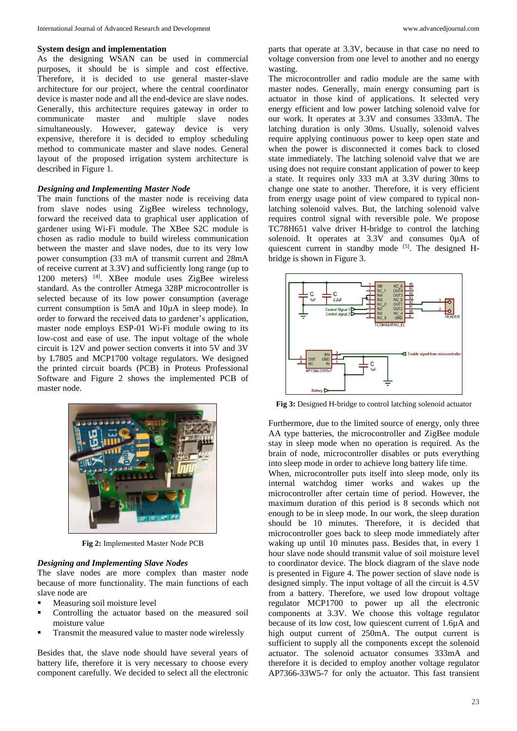#### **System design and implementation**

As the designing WSAN can be used in commercial purposes, it should be is simple and cost effective. Therefore, it is decided to use general master-slave architecture for our project, where the central coordinator device is master node and all the end-device are slave nodes. Generally, this architecture requires gateway in order to communicate master and multiple slave nodes simultaneously. However, gateway device is very expensive, therefore it is decided to employ scheduling method to communicate master and slave nodes. General layout of the proposed irrigation system architecture is described in Figure 1.

## *Designing and Implementing Master Node*

The main functions of the master node is receiving data from slave nodes using ZigBee wireless technology, forward the received data to graphical user application of gardener using Wi-Fi module. The XBee S2C module is chosen as radio module to build wireless communication between the master and slave nodes, due to its very low power consumption (33 mA of transmit current and 28mA of receive current at 3.3V) and sufficiently long range (up to 1200 meters) [4]. XBee module uses ZigBee wireless standard. As the controller Atmega 328P microcontroller is selected because of its low power consumption (average current consumption is 5mA and 10µA in sleep mode). In order to forward the received data to gardener's application, master node employs ESP-01 Wi-Fi module owing to its low-cost and ease of use. The input voltage of the whole circuit is 12V and power section converts it into 5V and 3V by L7805 and MCP1700 voltage regulators. We designed the printed circuit boards (PCB) in Proteus Professional Software and Figure 2 shows the implemented PCB of master node.



**Fig 2:** Implemented Master Node PCB

#### *Designing and Implementing Slave Nodes*

The slave nodes are more complex than master node because of more functionality. The main functions of each slave node are

- Measuring soil moisture level
- Controlling the actuator based on the measured soil moisture value
- Transmit the measured value to master node wirelessly

Besides that, the slave node should have several years of battery life, therefore it is very necessary to choose every component carefully. We decided to select all the electronic

parts that operate at 3.3V, because in that case no need to voltage conversion from one level to another and no energy wasting.

The microcontroller and radio module are the same with master nodes. Generally, main energy consuming part is actuator in those kind of applications. It selected very energy efficient and low power latching solenoid valve for our work. It operates at 3.3V and consumes 333mA. The latching duration is only 30ms. Usually, solenoid valves require applying continuous power to keep open state and when the power is disconnected it comes back to closed state immediately. The latching solenoid valve that we are using does not require constant application of power to keep a state. It requires only 333 mA at 3.3V during 30ms to change one state to another. Therefore, it is very efficient from energy usage point of view compared to typical nonlatching solenoid valves. But, the latching solenoid valve requires control signal with reversible pole. We propose TC78H651 valve driver H-bridge to control the latching solenoid. It operates at 3.3V and consumes 0µA of quiescent current in standby mode [5]. The designed Hbridge is shown in Figure 3.



**Fig 3:** Designed H-bridge to control latching solenoid actuator

Furthermore, due to the limited source of energy, only three AA type batteries, the microcontroller and ZigBee module stay in sleep mode when no operation is required. As the brain of node, microcontroller disables or puts everything into sleep mode in order to achieve long battery life time.

When, microcontroller puts itself into sleep mode, only its internal watchdog timer works and wakes up the microcontroller after certain time of period. However, the maximum duration of this period is 8 seconds which not enough to be in sleep mode. In our work, the sleep duration should be 10 minutes. Therefore, it is decided that microcontroller goes back to sleep mode immediately after waking up until 10 minutes pass. Besides that, in every 1 hour slave node should transmit value of soil moisture level to coordinator device. The block diagram of the slave node is presented in Figure 4. The power section of slave node is designed simply. The input voltage of all the circuit is 4.5V from a battery. Therefore, we used low dropout voltage regulator MCP1700 to power up all the electronic components at 3.3V. We choose this voltage regulator because of its low cost, low quiescent current of 1.6µA and high output current of 250mA. The output current is sufficient to supply all the components except the solenoid actuator. The solenoid actuator consumes 333mA and therefore it is decided to employ another voltage regulator AP7366-33W5-7 for only the actuator. This fast transient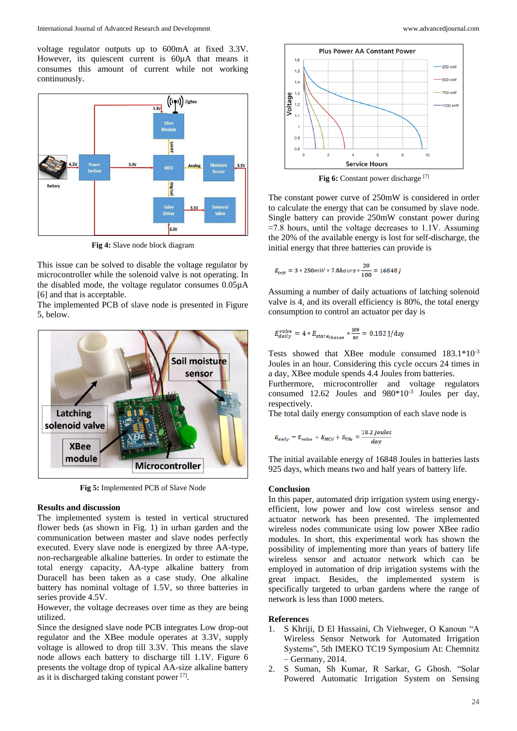voltage regulator outputs up to 600mA at fixed 3.3V. However, its quiescent current is 60 $\mu$ A that means it consumes this amount of current while not working continuously.



**Fig 4:** Slave node block diagram

This issue can be solved to disable the voltage regulator by microcontroller while the solenoid valve is not operating. In the disabled mode, the voltage regulator consumes 0.05µA [6] and that is acceptable.

The implemented PCB of slave node is presented in Figure 5, below.



**Fig 5:** Implemented PCB of Slave Node

## **Results and discussion**

The implemented system is tested in vertical structured flower beds (as shown in Fig. 1) in urban garden and the communication between master and slave nodes perfectly executed. Every slave node is energized by three AA-type, non-rechargeable alkaline batteries. In order to estimate the total energy capacity, AA-type alkaline battery from Duracell has been taken as a case study. One alkaline battery has nominal voltage of 1.5V, so three batteries in series provide 4.5V.

However, the voltage decreases over time as they are being utilized.

Since the designed slave node PCB integrates Low drop-out regulator and the XBee module operates at 3.3V, supply voltage is allowed to drop till 3.3V. This means the slave node allows each battery to discharge till 1.1V. Figure 6 presents the voltage drop of typical AA-size alkaline battery as it is discharged taking constant power [7].



Fig 6: Constant power discharge [7]

The constant power curve of 250mW is considered in order to calculate the energy that can be consumed by slave node. Single battery can provide 250mW constant power during  $\approx$ 7.8 hours, until the voltage decreases to 1.1V. Assuming the 20% of the available energy is lost for self-discharge, the initial energy that three batteries can provide is

$$
E_{init} = 3 * 250 mW * 7.8 hours * \frac{20}{100} = 16848 \, J
$$

Assuming a number of daily actuations of latching solenoid valve is 4, and its overall efficiency is 80%, the total energy consumption to control an actuator per day is

$$
E_{daily}^{valve} = 4 * E_{stat\,e_{change}} * \frac{100}{80} = 0.182 \text{ J/day}
$$

Tests showed that XBee module consumed 183.1\*10-3 Joules in an hour. Considering this cycle occurs 24 times in a day, XBee module spends 4.4 Joules from batteries.

Furthermore, microcontroller and voltage regulators consumed 12.62 Joules and  $980*10<sup>-3</sup>$  Joules per day, respectively.

The total daily energy consumption of each slave node is

$$
E_{daily} = E_{valve} + E_{MCU} + E_{VRs} \approx \frac{18.2 \, Joules}{day}
$$

The initial available energy of 16848 Joules in batteries lasts 925 days, which means two and half years of battery life.

#### **Conclusion**

In this paper, automated drip irrigation system using energyefficient, low power and low cost wireless sensor and actuator network has been presented. The implemented wireless nodes communicate using low power XBee radio modules. In short, this experimental work has shown the possibility of implementing more than years of battery life wireless sensor and actuator network which can be employed in automation of drip irrigation systems with the great impact. Besides, the implemented system is specifically targeted to urban gardens where the range of network is less than 1000 meters.

#### **References**

- 1. S Khriji, D El Hussaini, Ch Viehweger, O Kanoun "A Wireless Sensor Network for Automated Irrigation Systems", 5th IMEKO TC19 Symposium At: Chemnitz – Germany, 2014.
- 2. S Suman, Sh Kumar, R Sarkar, G Ghosh. "Solar Powered Automatic Irrigation System on Sensing